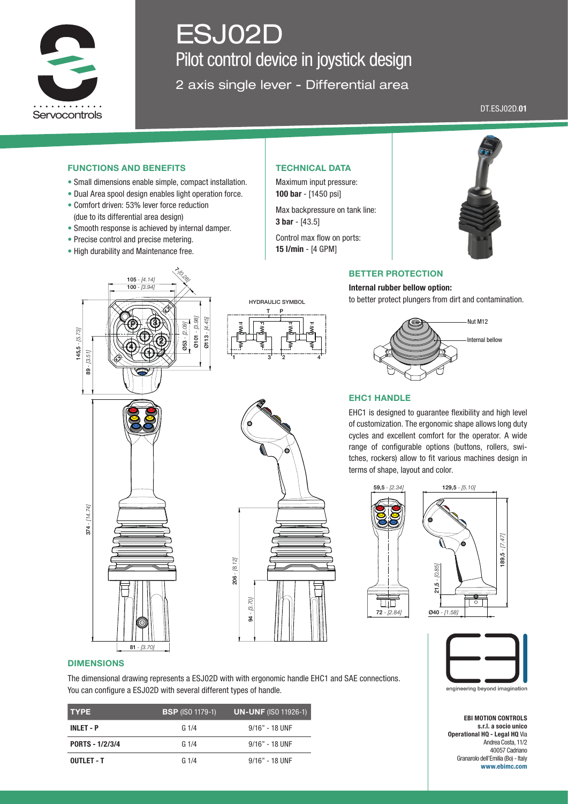

# ESJ02D Pilot control device in joystick design

2 axis single lever - Differential area

DT.ESJ02D.01

## FUNCTIONS AND BENEFITS

- Small dimensions enable simple, compact installation.
- Dual Area spool design enables light operation force.
- Comfort driven: 53% lever force reduction (due to its differential area design)
- Smooth response is achieved by internal damper.
- Precise control and precise metering.
- High durability and Maintenance free.

## TECHNICAL DATA

Maximum input pressure: 100 bar - [1450 psi]

Max backpressure on tank line: 3 bar - [43.5]

Control max flow on ports: 15 l/min - [4 GPM]



#### BETTER PROTECTION

Internal rubber bellow option: to better protect plungers from dirt and contamination.







# EHC1 HANDLE

EHC1 is designed to guarantee flexibility and high level of customization. The ergonomic shape allows long duty cycles and excellent comfort for the operator. A wide range of configurable options (buttons, rollers, switches, rockers) allow to fit various machines design in terms of shape, layout and color.





59,5 *- [2.34]* 129,5 *- [5.10]*



EBI MOTION CONTROLS s.r.l. a socio unico Operational HQ - Legal HQ Via Andrea Costa, 11/2 40057 Cadriano Granarolo dell'Emilia (Bo) - Italy www.ebimc.com



81 *- [3.70]*



# DIMENSIONS

The dimensional drawing represents a ESJ02D with with ergonomic handle EHC1 and SAE connections. You can configure a ESJ02D with several different types of handle.

| <b>TYPE</b>      | <b>BSP</b> (ISO 1179-1) | <b>UN-UNF (ISO 11926-1)</b> |
|------------------|-------------------------|-----------------------------|
| <b>INLET - P</b> | G1/4                    | $9/16"$ - 18 UNF            |
| PORTS - 1/2/3/4  | G1/4                    | $9/16"$ - 18 UNF            |
| OUTLET - T       | G1/4                    | $9/16"$ - 18 UNF            |